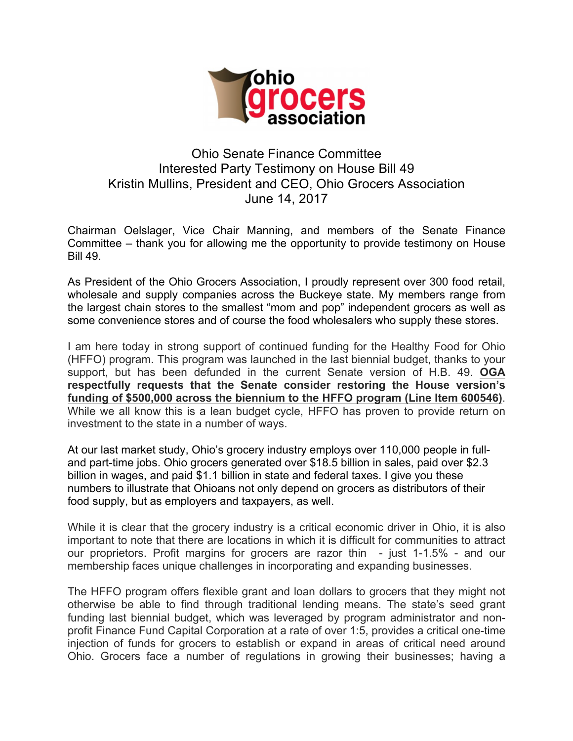

## Ohio Senate Finance Committee Interested Party Testimony on House Bill 49 Kristin Mullins, President and CEO, Ohio Grocers Association June 14, 2017

Chairman Oelslager, Vice Chair Manning, and members of the Senate Finance Committee – thank you for allowing me the opportunity to provide testimony on House Bill 49.

As President of the Ohio Grocers Association, I proudly represent over 300 food retail, wholesale and supply companies across the Buckeye state. My members range from the largest chain stores to the smallest "mom and pop" independent grocers as well as some convenience stores and of course the food wholesalers who supply these stores.

I am here today in strong support of continued funding for the Healthy Food for Ohio (HFFO) program. This program was launched in the last biennial budget, thanks to your support, but has been defunded in the current Senate version of H.B. 49. **OGA respectfully requests that the Senate consider restoring the House version's funding of \$500,000 across the biennium to the HFFO program (Line Item 600546)**. While we all know this is a lean budget cycle, HFFO has proven to provide return on investment to the state in a number of ways.

At our last market study, Ohio's grocery industry employs over 110,000 people in fulland part-time jobs. Ohio grocers generated over \$18.5 billion in sales, paid over \$2.3 billion in wages, and paid \$1.1 billion in state and federal taxes. I give you these numbers to illustrate that Ohioans not only depend on grocers as distributors of their food supply, but as employers and taxpayers, as well.

While it is clear that the grocery industry is a critical economic driver in Ohio, it is also important to note that there are locations in which it is difficult for communities to attract our proprietors. Profit margins for grocers are razor thin - just 1-1.5% - and our membership faces unique challenges in incorporating and expanding businesses.

The HFFO program offers flexible grant and loan dollars to grocers that they might not otherwise be able to find through traditional lending means. The state's seed grant funding last biennial budget, which was leveraged by program administrator and nonprofit Finance Fund Capital Corporation at a rate of over 1:5, provides a critical one-time injection of funds for grocers to establish or expand in areas of critical need around Ohio. Grocers face a number of regulations in growing their businesses; having a